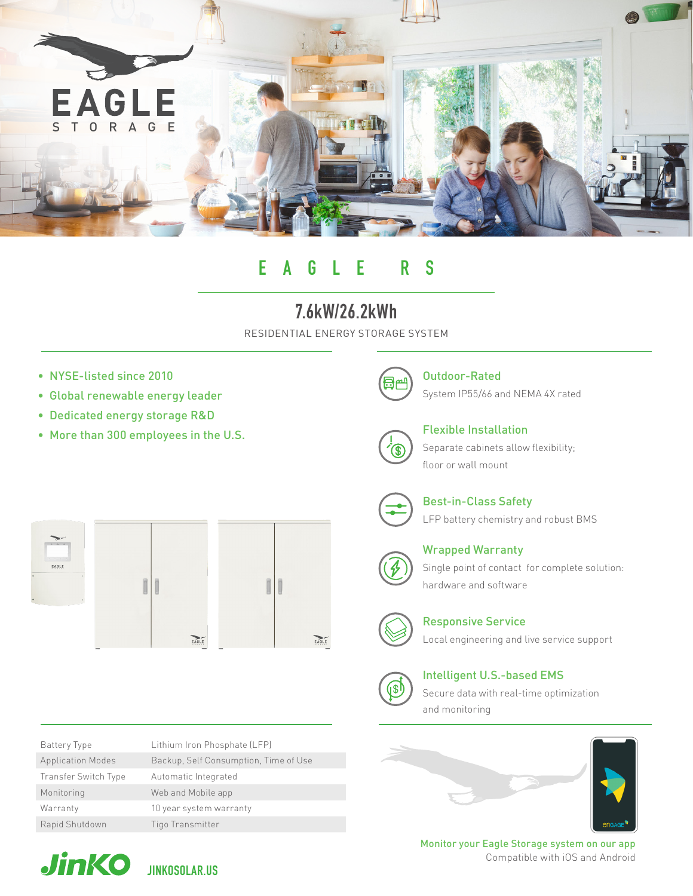

# EAGLE RS

## 7.6kW/26.2kWh

RESIDENTIAL ENERGY STORAGE SYSTEM

- NYSE-listed since 2010
- Global renewable energy leader
- Dedicated energy storage R&D
- More than 300 employees in the U.S.



Outdoor-Rated System IP55/66 and NEMA 4X rated

Flexible Installation Separate cabinets allow flexibility; floor or wall mount



Best-in-Class Safety LFP battery chemistry and robust BMS





Battery Type Lithium Iron Phosphate (LFP)



hardware and software



Responsive Service

Local engineering and live service support



Intelligent U.S.-based EMS

Secure data with real-time optimization and monitoring





Monitor your Eagle Storage system on our app Compatible with iOS and Android